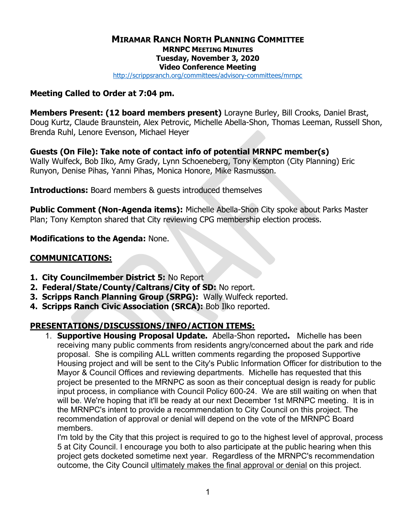## MIRAMAR RANCH NORTH PLANNING COMMITTEE MRNPC MEETING MINUTES Tuesday, November 3, 2020 Video Conference Meeting

http://scrippsranch.org/committees/advisory-committees/mrnpc

#### Meeting Called to Order at 7:04 pm.

Members Present: (12 board members present) Lorayne Burley, Bill Crooks, Daniel Brast, Doug Kurtz, Claude Braunstein, Alex Petrovic, Michelle Abella-Shon, Thomas Leeman, Russell Shon, Brenda Ruhl, Lenore Evenson, Michael Heyer

Guests (On File): Take note of contact info of potential MRNPC member(s) Wally Wulfeck, Bob Ilko, Amy Grady, Lynn Schoeneberg, Tony Kempton (City Planning) Eric Runyon, Denise Pihas, Yanni Pihas, Monica Honore, Mike Rasmusson.

**Introductions:** Board members & quests introduced themselves

Public Comment (Non-Agenda items): Michelle Abella-Shon City spoke about Parks Master Plan; Tony Kempton shared that City reviewing CPG membership election process.

#### Modifications to the Agenda: None.

#### COMMUNICATIONS:

- 1. City Councilmember District 5: No Report
- 2. Federal/State/County/Caltrans/City of SD: No report.
- 3. Scripps Ranch Planning Group (SRPG): Wally Wulfeck reported.
- 4. Scripps Ranch Civic Association (SRCA): Bob Ilko reported.

### PRESENTATIONS/DISCUSSIONS/INFO/ACTION ITEMS:

1. **Supportive Housing Proposal Update.** Abella-Shon reported. Michelle has been receiving many public comments from residents angry/concerned about the park and ride proposal. She is compiling ALL written comments regarding the proposed Supportive Housing project and will be sent to the City's Public Information Officer for distribution to the Mayor & Council Offices and reviewing departments. Michelle has requested that this project be presented to the MRNPC as soon as their conceptual design is ready for public input process, in compliance with Council Policy 600-24. We are still waiting on when that will be. We're hoping that it'll be ready at our next December 1st MRNPC meeting. It is in the MRNPC's intent to provide a recommendation to City Council on this project. The recommendation of approval or denial will depend on the vote of the MRNPC Board members.

I'm told by the City that this project is required to go to the highest level of approval, process 5 at City Council. I encourage you both to also participate at the public hearing when this project gets docketed sometime next year. Regardless of the MRNPC's recommendation outcome, the City Council ultimately makes the final approval or denial on this project.